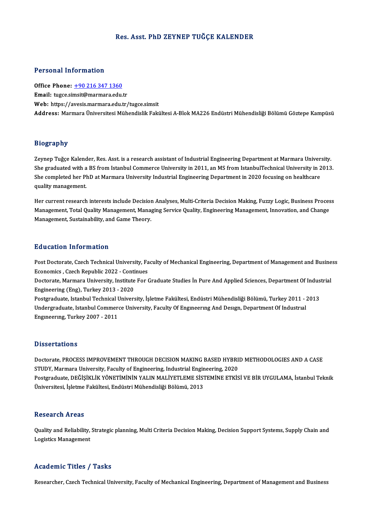#### Res. Asst. PhD ZEYNEP TUĞÇE KALENDER

#### Personal Information

Office Phone: +90 216 347 1360 Email: tugce.si[msit@marmara.edu.](tel:+90 216 347 1360)tr Web: https://avesis.marmara.edu.tr/tugce.simsit Address: Marmara Üniversitesi Mühendislik Fakültesi A-Blok MA226 Endüstri Mühendisliği Bölümü Göztepe Kampüsü

#### Biography

**Biography<br>Zeynep Tuğçe Kalender, Res. Asst. is a research assistant of Industrial Engineering Department at Marmara University.<br>She graduated with a PS from Istanbul Commarce University in 2011 an MS from IstanbulTechnica** Shoghuph,<br>Zeynep Tuğçe Kalender, Res. Asst. is a research assistant of Industrial Engineering Department at Marmara University.<br>She graduated with a BS from Istanbul Commerce University in 2011, an MS from IstanbulTechnica Zeynep Tuğçe Kalender, Res. Asst. is a research assistant of Industrial Engineering Department at Marmara Univer<br>She graduated with a BS from Istanbul Commerce University in 2011, an MS from IstanbulTechnical University in She graduated with a BS from Istanbul Commerce University in 2011, an MS from IstanbulTechnical University in 2013.<br>She completed her PhD at Marmara University Industrial Engineering Department in 2020 focusing on healthca

She completed her ThD at Marmara oniversity measurial Engineering Department in 2020 focusing on nearlicare<br>quality management.<br>Management Total Quality Management Managing Service Quality, Engineering Management Innevatio quanty management.<br>Her current research interests include Decision Analyses, Multi-Criteria Decision Making, Fuzzy Logic, Business Proces<br>Management, Total Quality Management, Managing Service Quality, Engineering Manageme Her current research interests include Decisior<br>Management, Total Quality Management, Mana<sub>i</sub><br>Management, Sustainability, and Game Theory. Management, Sustainability, and Game Theory.<br>Education Information

Education Information<br>Post Doctorate, Czech Technical University, Faculty of Mechanical Engineering, Department of Management and Business<br>Feanamics, Crech Penublic 2022, Continues Post Doctorate, Czech Technical University, Fa<br>Economics , Czech Republic 2022 - Continues<br>Doctorate Marmara University Institute For ( Post Doctorate, Czech Technical University, Faculty of Mechanical Engineering, Department of Management and Busine<br>Economics , Czech Republic 2022 - Continues<br>Doctorate, Marmara University, Institute For Graduate Studies İ

Economics , Czech Republic 2022 - Continues<br>Doctorate, Marmara University, Institute For Graduate Studies İn Pure And Applied Sciences, Department Of Industrial<br>Engineering (Eng), Turkey 2013 - 2020 Doctorate, Marmara University, Institute For Graduate Studies İn Pure And Applied Sciences, Department Of Indus<br>Engineering (Eng), Turkey 2013 - 2020<br>Postgraduate, Istanbul Technical University, İşletme Fakültesi, Endüstri

Engineering (Eng), Turkey 2013 - 2020<br>Postgraduate, Istanbul Technical University, İşletme Fakültesi, Endüstri Mühendisliği Bölümü, Turkey 2011 - ;<br>Undergraduate, Istanbul Commerce University, Faculty Of Engineering And De Postgraduate, Istanbul Technical l<br>Undergraduate, Istanbul Commer<br>Engıneering, Turkey 2007 - 2011 Engineering, Turkey 2007 - 2011<br>Dissertations

Doctorate, PROCESS IMPROVEMENT THROUGH DECISION MAKING BASED HYBRID METHODOLOGIES AND A CASE STUDY, MARISTIC<br>Doctorate, PROCESS IMPROVEMENT THROUGH DECISION MAKING BASED HYBRI<br>STUDY, Marmara University, Faculty of Engineering, Industrial Engineering, 2020<br>Postanaduate DEČisiku ik võnetiminin val IN MALIVETI EME Si Postgraduate, DEĞİŞİKLİK YÖNETİMİNİN YALIN MALİYETLEME SİSTEMİNE ETKİSİ VE BİR UYGULAMA, İstanbul Teknik<br>Üniversitesi, İşletme Fakültesi, Endüstri Mühendisliği Bölümü, 2013 STUDY, Marmara University, Faculty of Engineering, Industrial Engin<br>Postgraduate, DEĞİŞİKLİK YÖNETİMİNİN YALIN MALİYETLEME SİS'<br>Üniversitesi, İşletme Fakültesi, Endüstri Mühendisliği Bölümü, 2013

#### **Research Areas**

Research Areas<br>Quality and Reliability, Strategic planning, Multi Criteria Decision Making, Decision Support Systems, Supply Chain and<br>Logistics Managament Robout on TH 000<br>Quality and Reliability,<br>Logistics Management Logistics Management<br>Academic Titles / Tasks

Researcher, Czech Technical University, Faculty of Mechanical Engineering, Department of Management and Business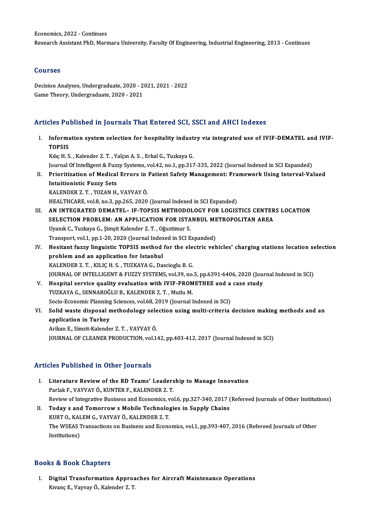#### Courses

Courses<br>Decision Analyses, Undergraduate, 2020 - 2021, 2021 - 2022<br>Came Theory, Undergraduate, 2020, 2021 Sourbes<br>Decision Analyses, Undergraduate, 2020 - 2<br>Game Theory, Undergraduate, 2020 - 2021

# Game Theory, Undergraduate, 2020 - 2021<br>Articles Published in Journals That Entered SCI, SSCI and AHCI Indexes

rticles Published in Journals That Entered SCI, SSCI and AHCI Indexes<br>I. Information system selection for hospitality industry via integrated use of IVIF-DEMATEL and IVIF-<br>TOPSIS Informa<br>TopSIS<br>Kike <sup>H</sup> S Information system selection for hospitality indust<br>TOPSIS<br>Kılıç H. S. , Kalender Z. T. , Yalçın A. S. , Erkal G., Tuzkaya G.<br>Journal Of Intelligent & Eugey Systems vol 42 no 1 np 215

TOPSIS<br>Kılıç H. S. , Kalender Z. T. , Yalçın A. S. , Erkal G., Tuzkaya G.<br>Journal Of Intelligent & Fuzzy Systems, vol.42, no.1, pp.317-335, 2022 (Journal Indexed in SCI Expanded) Kılıç H. S. , Kalender Z. T. , Yalçın A. S. , Erkal G., Tuzkaya G.<br>Journal Of Intelligent & Fuzzy Systems, vol.42, no.1, pp.317-335, 2022 (Journal Indexed in SCI Expanded)<br>II. Prioritization of Medical Errors in Patient Sa

Journal Of Intelligent & Fuz<mark>z</mark><br>Prioritization of Medical<br>Intuitionistic Fuzzy Sets<br>KALENDER 7 T. TOZAN H Intuitionistic Fuzzy Sets<br>KALENDER Z. T., TOZAN H., VAYVAY Ö.

HEALTHCARE, vol.8, no.3, pp.265, 2020 (Journal Indexed in SCI Expanded)

- KALENDER Z. T. , TOZAN H., VAYVAY Ö.<br>HEALTHCARE, vol.8, no.3, pp.265, 2020 (Journal Indexed in SCI Expanded)<br>III. AN INTEGRATED DEMATEL– IF-TOPSIS METHODOLOGY FOR LOGISTICS CENTERS LOCATION<br>SELECTION PROBLEM: AN APRLIC HEALTHCARE, vol.8, no.3, pp.265, 2020 (Journal Indexed in SCI Expanded)<br>AN INTEGRATED DEMATEL – IF-TOPSIS METHODOLOGY FOR LOGISTICS CENTER<br>SELECTION PROBLEM: AN APPLICATION FOR ISTANBUL METROPOLITAN AREA<br>Urank C. Turkays C SELECTION PROBLEM: AN APPLICATION FOR ISTANBUL METROPOLITAN AREA<br>Uyanık C., Tuzkaya G., Şimşit Kalender Z. T. , Oğuztimur S. SELECTION PROBLEM: AN APPLICATION FOR ISTANBUL ME<br>Uyanık C., Tuzkaya G., Şimşit Kalender Z. T. , Oğuztimur S.<br>Transport, vol.1, pp.1-20, 2020 (Journal Indexed in SCI Expanded)<br>Hesitant fuggy linguistie TOBSIS method for th
- IV. Hesitant fuzzy linguistic TOPSIS method for the electric vehicles' charging stations location selection problem and an application for Istanbul Transport, vol.1, pp.1-20, 2020 (Journal Index<br>Hesitant fuzzy linguistic TOPSIS method<br>problem and an application for Istanbul<br>KALENDER 7 T. KULCH S. TUZKAVA G. Da KALENDER Z. T., KILIÇ H. S., TUZKAYA G., Dascioglu B. G. problem and an application for Istanbul<br>KALENDER Z. T. , KILIÇ H. S. , TUZKAYA G., Dascioglu B. G.<br>JOURNAL OF INTELLIGENT & FUZZY SYSTEMS, vol.39, no.5, pp.6391-6406, 2020 (Journal Indexed in SCI)<br>Hospital sorvice quality KALENDER Z. T., KILIÇ H. S., TUZKAYA G., Dascioglu B. G.<br>JOURNAL OF INTELLIGENT & FUZZY SYSTEMS, vol.39, no.5, pp.6391-6406, 2020 (Journal Schwarz of Puzzy Systems, vol.39, no.5, pp.6391-6406, 2020 (Journal Schwarz of Puzz
- JOURNAL OF INTELLIGENT & FUZZY SYSTEMS, vol.39, no.<br>Hospital service quality evaluation with IVIF-PROM<br>TUZKAYA G., SENNAROĞLU B., KALENDER Z. T. , Mutlu M.<br>Sesie Feenemis Planning Sciences, vol.69, 2010 (Journal I Hospital service quality evaluation with IVIF-PROMETHEE and a<br>TUZKAYA G., SENNAROĞLU B., KALENDER Z. T. , Mutlu M.<br>Socio-Economic Planning Sciences, vol.68, 2019 (Journal Indexed in SCI)<br>Solid wasta disposal mathodology so
- TUZKAYA G., SENNAROĞLU B., KALENDER Z. T. , Mutlu M.<br>Socio-Economic Planning Sciences, vol.68, 2019 (Journal Indexed in SCI)<br>VI. Solid waste disposal methodology selection using multi-criteria decision making methods and a Socio-Economic Planning<br>Solid waste disposal n<br>application in Turkey<br>Arikan E. Simeit Kalende ArikanE.,Simsit-Kalender Z.T. ,VAYVAYÖ. JOURNAL OF CLEANER PRODUCTION, vol.142, pp.403-412, 2017 (Journal Indexed in SCI)

#### Articles Published in Other Journals

- I. Literature Reviewof the RD Teams' Leadership to Manage Innovation Parlak F., VAYVAY Ö., KUNTER F., KALENDER Z. T. Review of Integrative Business and Economics, vol.6, pp.327-340, 2017 (Refereed Journals of Other Institutions) II. Today s and Tomorrows Mobile Technologies in Supply Chains
- Review of Integrative Business and Economics, v<br>Today s and Tomorrow s Mobile Technolo<sub>{</sub><br>KURT O., KALEM G., VAYVAY Ö., KALENDER Z. T.<br>The WSEAS Transastions on Business and Econo The WSEAS Transactions on Business and Economics, vol.1, pp.393-407, 2016 (Refereed Journals of Other Institutions) KURT O., KAI<br>The WSEAS 1<br>Institutions)

#### Books&Book Chapters

ooks & Book Chapters<br>I. Digital Transformation Approaches for Aircraft Maintenance Operations<br>Kwans E. Vaway Ö. Kalander 7, T. kə & Book Ghaptoru<br>Digital Transformation Approa<br>Kıvanç E., Vayvay Ö., Kalender Z. T.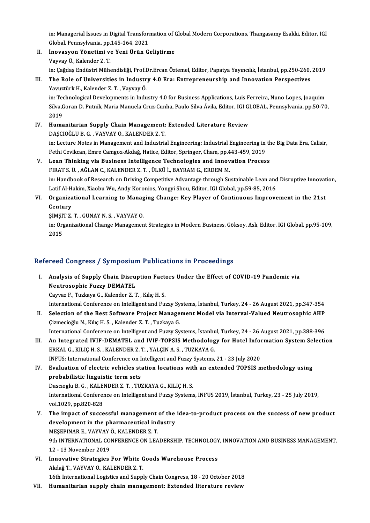in: Managerial Issues in Digital Transformation of Global Modern Corporations, Thangasamy Esakki, Editor, IGI<br>Clobal Pennsylvania nn 145,164,2021 in: Managerial Issues in Digital Transform<br>Global, Pennsylvania, pp.145-164, 2021<br>Inovasyon Vänetimi ve Veni Ünün G in: Managerial Issues in Digital Transformation of C<br>Global, Pennsylvania, pp.145-164, 2021<br>II. Inovasyon Yönetimi ve Yeni Ürün Geliştirme<br>Verrey Ö, Kelender 7, T.

Global, Pennsylvania, pp.<br>**İnovasyon Yönetimi v**<br>Vayvay Ö., Kalender Z. T.<br>in: Geğdee Endüstri Müh Vayvay Ö., Kalender Z. T.<br>in: Çağdaş Endüstri Mühendisliği, Prof.Dr.Ercan Öztemel, Editor, Papatya Yayıncılık, İstanbul, pp.250-260, 2019 Vayvay Ö., Kalender Z. T.<br>In: Çağdaş Endüstri Mühendisliği, Prof.Dr.Ercan Öztemel, Editor, Papatya Yayıncılık, İstanbul, pp.250-260,<br>III. The Role of Universities in Industry 4.0 Era: Entrepreneurship and Innovation Pe

- Yavuztürk H., Kalender Z. T. , Vayvay Ö.<br>in: Technological Developments in Industry 4.0 for Business Applications, Luis Ferreira, Nuno Lopes, Joaquim The Role of Universities in Industry 4.0 Era: Entrepreneurship and Innovation Perspectives<br>Yavuztürk H., Kalender Z. T. , Vayvay Ö.<br>in: Technological Developments in Industry 4.0 for Business Applications, Luis Ferreira, N Yavuztürk H., Kalender Z. T. , Vayvay Ö.<br>in: Technological Developments in Industry 4.0 for Business Applications, Luis Ferreira, Nuno Lopes, Joaquim<br>Silva,Goran D. Putnik, Maria Manuela Cruz-Cunha, Paulo Silva Ávila, Edit in: Teo<br>Silva,C<br>2019<br>Huma Silva, Goran D. Putnik, Maria Manuela Cruz-Cunha, Paulo Silva Ávila, Editor, IGI GI<br>2019<br>IV. Humanitarian Supply Chain Management: Extended Literature Review
- 2019<br>Humanitarian Supply Chain Management:<br>DAŞCIOĞLU B. G. , VAYVAY Ö., KALENDER Z. T.<br>in: Lecture Netes in Management and Industrie DAȘCIOĞLU B. G. , VAYVAY Ö., KALENDER Z. T.<br>in: Lecture Notes in Management and Industrial Engineering: Industrial Engineering in the Big Data Era, Calisir, DAŞCIOĞLU B. G. , VAYVAY Ö., KALENDER Z. T.<br>in: Lecture Notes in Management and Industrial Engineering: Industrial Engineering in<br>Fethi Cevikcan, Emre Camgoz-Akdağ, Hatice, Editor, Springer, Cham, pp.443-459, 2019<br>Leen, Th in: Lecture Notes in Management and Industrial Engineering: Industrial Engineering in the Fethi Cevikcan, Emre Camgoz-Akdağ, Hatice, Editor, Springer, Cham, pp.443-459, 2019<br>V. Lean Thinking via Business Intelligence Techn Fethi Cevikcan, Emre Camgoz-Akdağ, Hatice, Editor, Springer, Cham, pp.4<br>Lean Thinking via Business Intelligence Technologies and Innov<br>FIRAT S. Ü. , AĞLAN C., KALENDER Z. T. , ÜLKÜ İ., BAYRAM G., ERDEM M.<br>in: Handbook of B
- Lean Thinking via Business Intelligence Technologies and Innovation Process<br>FIRAT S. Ü. , AĞLAN C., KALENDER Z. T. , ÜLKÜ İ., BAYRAM G., ERDEM M.<br>in: Handbook of Research on Driving Competitive Advantage through Sustainabl FIRAT S. Ü. , AĞLAN C., KALENDER Z. T. , ÜLKÜ İ., BAYRAM G., ERDEM M.<br>in: Handbook of Research on Driving Competitive Advantage through Sustainable Lean and<br>Latif Al-Hakim, Xiaobu Wu, Andy Koronios, Yongyi Shou, Editor, IG in: Handbook of Research on Driving Competitive Advantage through Sustainable Lean and Disruptive Innovat<br>Latif Al-Hakim, Xiaobu Wu, Andy Koronios, Yongyi Shou, Editor, IGI Global, pp.59-85, 2016<br>VI. Organizational Learnin
- Latif Al-H<br>Organiza<br>Century<br>SiMSiT 7 Organizational Learning to Manag<br>Century<br>ŞİMŞİT Z. T. , GÜNAY N. S. , VAYVAY Ö.<br>in: Organizational Change Managemen
	- ŞİMŞİTZ T, GÜNAY N S, VAYVAY Ö.

Century<br>ŞİMŞİT Z. T. , GÜNAY N. S. , VAYVAY Ö.<br>in: Organizational Change Management Strategies in Modern Business, Göksoy, Aslı, Editor, IGI Global, pp.95-109,<br>2015

### Refereed Congress / Symposium Publications in Proceedings

I. Analysis of Supply Chain Disruption Factors Under the Effect of COVID-19 Pandemic via Neutrosophic Fuzzy DEMATEL

CayvazF.,TuzkayaG.,Kalender Z.T. ,KılıçH.S.

Neutrosophic Fuzzy DEMATEL<br>Cayvaz F., Tuzkaya G., Kalender Z. T. , Kılıç H. S.<br>International Conference on Intelligent and Fuzzy Systems, İstanbul, Turkey, 24 - 26 August 2021, pp.347-354<br>Selection of the Best Seftware Pre Cayvaz F., Tuzkaya G., Kalender Z. T. , Kılıç H. S.<br>International Conference on Intelligent and Fuzzy Systems, İstanbul, Turkey, 24 - 26 August 2021, pp.347-354<br>II. Selection of the Best Software Project Management Model v International Conference on Intelligent and Fuzzy Sy<br>Selection of the Best Software Project Manage<br>Çizmecioğlu N., Kılıç H. S. , Kalender Z. T. , Tuzkaya G.<br>International Conference on Intelligent and Euggy Sy Selection of the Best Software Project Management Model via Interval-Valued Neutrosophic AHP<br>Cizmecioğlu N., Kılıç H. S. , Kalender Z. T. , Tuzkaya G.<br>International Conference on Intelligent and Fuzzy Systems, İstanbul, Tu

Cizmecioğlu N., Kılıç H. S. , Kalender Z. T. , Tuzkaya G.<br>International Conference on Intelligent and Fuzzy Systems, İstanbul, Turkey, 24 - 26 August 2021, pp.388-396<br>III. An Integrated IVIF-DEMATEL and IVIF-TOPSIS Methodo International Conference on Intelligent and Fuzzy Systems, İstanbu<br>An Integrated IVIF-DEMATEL and IVIF-TOPSIS Methodolog<br>ERKAL G., KILIÇ H. S. , KALENDER Z. T. , YALÇIN A. S. , TUZKAYA G.<br>INEUS, International Conference on An Integrated IVIF-DEMATEL and IVIF-TOPSIS Methodology for Hotel Informational Conference on Intelligent and Fuzzy Systems, 21 - 23 July 2020<br>INFUS: International Conference on Intelligent and Fuzzy Systems, 21 - 23 July 2 ERKAL G., KILIÇ H. S., KALENDER Z. T., YALÇIN A. S., TUZKAYA G.<br>INFUS: International Conference on Intelligent and Fuzzy Systems, 21 - 23 July 2020<br>IV. Evaluation of electric vehicles station locations with an extended TOP

probabilistic linguistic termsets Evaluation of electric vehicles station locations wit<br>probabilistic linguistic term sets<br>Dascıoglu B. G. , KALENDER Z. T. , TUZKAYA G., KILIÇ H. S.<br>International Conference on Intelligant and Euggy Systems

International Conference on Intelligent and Fuzzy Systems, INFUS 2019, İstanbul, Turkey, 23 - 25 July 2019, vol.1029, pp.820-828 Dascioglu B. G. , KALE<br>International Confere<br>vol.1029, pp.820-828<br>The imnest of succe International Conference on Intelligent and Fuzzy Systems, INFUS 2019, İstanbul, Turkey, 23 - 25 July 2019,<br>vol.1029, pp.820-828<br>V. The impact of successful management of the idea-to-product process on the success of new p

- vol.1029, pp.820-828<br>The impact of successful management of the<br>development in the pharmaceutical industry<br>MESEDINAR E, VAVVAYÖ, KALENDER Z.T. The impact of successful management<br>development in the pharmaceutical ind<br>MEŞEPINAR E., VAYVAY Ö., KALENDER Z. T.<br>9th INTERNATIONAL CONEERENCE ON LEA development in the pharmaceutical industry<br>MEŞEPINAR E., VAYVAY Ö., KALENDER Z. T.<br>9th INTERNATIONAL CONFERENCE ON LEADERSHIP, TECHNOLOGY, INNOVATION AND BUSINESS MANAGEMENT,<br>12., 13 November 2019 MEŞEPINAR E., VAYVAY<br>9th INTERNATIONAL CO<br>12 - 13 November 2019<br>Innovative Strategies 9th INTERNATIONAL CONFERENCE ON LEADERSHIP, TECHNOLOGY<br>12 - 13 November 2019<br>VI. Innovative Strategies For White Goods Warehouse Process
- 12 13 November 2019<br>VI. Innovative Strategies For White Goods Warehouse Process<br>Akdağ T., VAYVAY Ö., KALENDER Z. T. 16th International Logistics and Supply Chain Congress, 18 - 20 October 2018
- VII. Humanitarian supply chain management: Extended literature review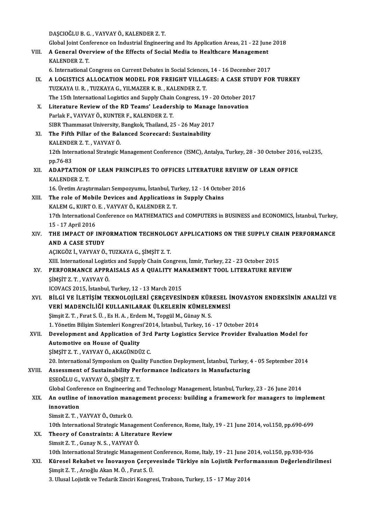DAŞCIOĞLU B. G., VAYVAY Ö., KALENDER Z. T.

Global Joint Conference on Industrial Engineering and Its Application Areas, 21 - 22 June 2018

DAȘCIOĞLU B. G. , VAYVAY Ö., KALENDER Z. T.<br>Global Joint Conference on Industrial Engineering and Its Application Areas, 21 - 22 June<br>VIII. A General Overview of the Effects of Social Media to Healthcare Management<br>VALENDE Global Joint Cont<br>A General Over<br>KALENDER Z. T. 6. General Overview of the Effects of Social Media to Healthcare Management<br>KALENDER Z. T.<br>6. International Congress on Current Debates in Social Sciences, 14 - 16 December 2017<br>A LOCISTICS ALLOCATION MODEL FOR EREIGHT VIL

- KALENDER Z. T.<br>6. International Congress on Current Debates in Social Sciences, 14 16 December 2017<br>IX. A LOGISTICS ALLOCATION MODEL FOR FREIGHT VILLAGES: A CASE STUDY FOR TURKEY<br>TUZKAVA IL B. TUZKAVA C. VILMAZER K. R. K 6. International Congress on Current Debates in Social Sciences<br>A LOGISTICS ALLOCATION MODEL FOR FREIGHT VILLA<br>TUZKAYA U. R. , TUZKAYA G., YILMAZER K. B. , KALENDER Z. T.<br>The 15th International Logistics and Sunnly Chain C A LOGISTICS ALLOCATION MODEL FOR FREIGHT VILLAGES: A CASE STUD<br>TUZKAYA U. R. , TUZKAYA G., YILMAZER K. B. , KALENDER Z. T.<br>The 15th International Logistics and Supply Chain Congress, 19 - 20 October 2017<br>Literature Peuleu TUZKAYA U. R., TUZKAYA G., YILMAZER K. B., KALENDER Z. T.<br>The 15th International Logistics and Supply Chain Congress, 19 - 20 October 201<br>X. Literature Review of the RD Teams' Leadership to Manage Innovation<br>Barlak E. VAYV
- The 15th International Logistics and Supply Chain<br>Literature Review of the RD Teams' Leaders<br>Parlak F., VAYVAY Ö., KUNTER F., KALENDER Z. T.<br>SIBB Thammaget University Bangkok, Theiland, 21 Literature Review of the RD Teams' Leadership to Manage<br>Parlak F., VAYVAY Ö., KUNTER F., KALENDER Z. T.<br>SIBR Thammasat University, Bangkok, Thailand, 25 - 26 May 2017<br>The Fifth Billar of the Belanged Seereeard: Sustainebil SIBR Thammasat University, Bangkok, Thailand, 25 - 26 May 2017
- Parlak F., VAYVAY Ö., KUNTER F., KALENDER Z. T.<br>SIBR Thammasat University, Bangkok, Thailand, 25 26 May 201'<br>XI. The Fifth Pillar of the Balanced Scorecard: Sustainability<br>KALENDER Z. T., VAYVAY Ö. The Fifth Pillar of the Balanced Scorecard: Sustainability<br>KALENDER Z. T. , VAYVAY Ö.<br>12th International Strategic Management Conference (ISMC), Antalya, Turkey, 28 - 30 October 2016, vol.235,<br>nn 76 93 KALENDE<br>12th Inter<br>pp.76-83<br>ADAPTA 12th International Strategic Management Conference (ISMC), Antalya, Turkey, 28 - 30 October 2016<br>pp.76-83<br>XII. ADAPTATION OF LEAN PRINCIPLES TO OFFICES LITERATURE REVIEW OF LEAN OFFICE<br>KALENDER 7 T

## pp.76-83<br>ADAPTATION (<br>KALENDER Z. T.<br>16. Unatim Aract 19. ADAPTATION OF LEAN PRINCIPLES TO OFFICES LITERATURE REVIEW<br>KALENDER Z. T.<br>16. Üretim Araştırmaları Sempozyumu, İstanbul, Turkey, 12 - 14 October 2016<br>The role of Mobile Devises and Applications in Supply Cheins

KALENDER Z. T.<br>16. Üretim Araştırmaları Sempozyumu, İstanbul, Turkey, 12 - 14 Octob<br>XIII. The role of Mobile Devices and Applications in Supply Chains<br>KALEM G. KURT O E. VAYVAY Ö. KALENDER Z. T. 16. Üretim Araştırmaları Sempozyumu, İstanbul, Tu<br>The role of Mobile Devices and Applications<br>KALEM G., KURT O. E. , VAYVAY Ö., KALENDER Z. T.<br>17th International Conference on MATHEMATICS o 17th International Conference on MATHEMATICS and COMPUTERS in BUSINESS and ECONOMICS, İstanbul, Turkey,<br>15 - 17 April 2016 KALEM G., KURT O. E., VAYVAY Ö., KALENDER Z. T. 17th International Conference on MATHEMATICS and COMPUTERS in BUSINESS and ECONOMICS, İstanbul, Turkey,<br>15 - 17 April 2016<br>XIV. THE IMPACT OF INFORMATION TECHNOLOGY APPLICATIONS ON THE SUPPLY CHAIN PERFORMANCE

## 15 - 17 April 2016<br>THE IMPACT OF INF<br>AND A CASE STUDY<br>ACIVOCZ L VAYVAY Ö THE IMPACT OF INFORMATION TECHNOLOON<br>AND A CASE STUDY<br>AÇIKGÖZ İ., VAYVAY Ö., TUZKAYA G., ŞİMŞİT Z. T.<br>YIIL Interrational Logistics and Sunnly Chain Con AND A CASE STUDY<br>AÇIKGÖZ İ., VAYVAY Ö., TUZKAYA G., ŞİMŞİT Z. T.<br>XIII. International Logistics and Supply Chain Congress, İzmir, Turkey, 22 - 23 October 2015<br>REREORMANCE ARRRAIS AS A QUALITY MANAEMENT TOOL I ITERATIIRE REV

- AÇIKGÖZ İ., VAYVAY Ö., TUZKAYA G., ŞİMŞİT Z. T.<br>XIII. International Logistics and Supply Chain Congress, İzmir, Turkey, 22 23 October 2015<br>XV. PERFORMANCE APPRAISALS AS A QUALITY MANAEMENT TOOL LITERATURE REVIEW<br>ŞİMŞ XIII. International Logist<br>PERFORMANCE APPR.<br>ŞİMŞİT Z. T. , VAYVAY Ö.<br>ICOVACS 2015. İstanbul ICOVACS2015, İstanbul,Turkey,12 -13March 2015
- ŞİMŞİT Z. T. , VAYVAY Ö.<br>ICOVACS 2015, İstanbul, Turkey, 12 13 March 2015<br>XVI. BİLGİ VE İLETİŞİM TEKNOLOJİLERİ ÇERÇEVESİNDEN KÜRESEL İNOVASYON ENDEKSİNİN ANALİZİ VE<br>YERİ MADENCILIĞI KULLANU ARAK ÜLKELERIN KÜMELENMESİ ICOVACS 2015, İstanbul, Turkey, 12 - 13 March 2015<br>BİLGİ VE İLETİŞİM TEKNOLOJİLERİ ÇERÇEVESİNDEN KÜRESEL İ<br>VERİ MADENCİLİĞİ KULLANILARAK ÜLKELERİN KÜMELENMESİ<br>Simsit 7 T. Evrat S.Ü. Es H.A. Erdem M. Tengül M. Günev N.S BİLGİ VE İLETİŞİM TEKNOLOJİLERİ ÇERÇEVESİNDEN KÜR<br>VERİ MADENCİLİĞİ KULLANILARAK ÜLKELERİN KÜMELE<br>Şimşit Z. T. , Fırat S. Ü. , Es H. A. , Erdem M., Topgül M., Günay N. S.<br>1. Vänatin Bilisim Sistemleri Kongresi'2014, İstanbu

VERİ MADENCİLİĞİ KULLANILARAK ÜLKELERİN KÜMELENMESİ<br>Şimşit Z. T. , Fırat S. Ü. , Es H. A. , Erdem M., Topgül M., Günay N. S.<br>1. Yönetim Bilişim Sistemleri Kongresi'2014, İstanbul, Turkey, 16 - 17 October 2014<br>Davelarmant a

## Simşit Z. T. , Fırat S. Ü. , Es H. A. , Erdem M., Topgül M., Günay N. S.<br>1. Yönetim Bilişim Sistemleri Kongresi'2014, İstanbul, Turkey, 16 - 17 October 2014<br>XVII. Development and Application of 3rd Party Logistics Service 1. Yönetim Bilişim Sistemleri Kongres<br>Development and Application of<br>Automotive on House of Quality<br>SiMSIT 7 T. VAXVAYÖ AKACÜNDÜ Development and Application of 3rd<br>Automotive on House of Quality<br>ŞİMŞİT Z. T. , VAYVAY Ö., AKAGÜNDÜZ C.<br>20. International Sumnesium en Quality I. 20. Automotive on House of Quality<br>20. International Symposium on Quality Function Deployment, İstanbul, Turkey, 4 - 05 September 2014<br>20. International Symposium on Quality Function Deployment, İstanbul, Turkey, 4 - 05 Se

SİMŞİT Z. T. , VAYVAY Ö., AKAGÜNDÜZ C.<br>20. International Symposium on Quality Function Deployment, İstanbul, Turkey, 4<br>XVIII. Assessment of Sustainability Performance Indicators in Manufacturing 20. International Symposium on Qua<br>Assessment of Sustainability Per<br>ESEOĞLU G., VAYVAY Ö., ŞİMŞİT Z. T.<br>Clabal Conference on Engineering er Assessment of Sustainability Performance Indicators in Manufacturing<br>ESEOĞLU G., VAYVAY Ö., ŞİMŞİT Z. T.<br>Global Conference on Engineering and Technology Management, İstanbul, Turkey, 23 - 26 June 2014<br>An eutline of innevat

## ESEOĞLU G., VAYVAY Ö., ŞİMŞİT Z. T.<br>Global Conference on Engineering and Technology Management, İstanbul, Turkey, 23 - 26 June 2014<br>XIX. An outline of innovation management process: building a framework for managers to Global Confe<br>An outline<br>innovation<br>Simeit 7, T, M An outline of innovation man:<br>innovation<br>Simsit Z. T. , VAYVAY Ö., Ozturk O.<br>10th International Strategic Mane innovation<br>Simsit Z. T. , VAYVAY Ö., Ozturk O.<br>10th International Strategic Management Conference, Rome, Italy, 19 - 21 June 2014, vol.150, pp.690-699

- Simsit Z. T., VAYVAY Ö., Ozturk O.<br>10th International Strategic Management Conferent<br>XX. Theory of Constraints: A Literature Review<br>Simsit Z. T., Cunov N. S., VAYVAY Ö. 10th International Strategic Manage<br>Theory of Constraints: A Literat<br>Simsit Z.T., Gunay N.S., VAYVAY Ö. Simsit Z. T. , Gunay N. S. , VAYVAY Ö.<br>10th International Strategic Management Conference, Rome, Italy, 19 - 21 June 2014, vol.150, pp.930-936 Simsit Z. T. , Gunay N. S. , VAYVAY Ö.<br>10th International Strategic Management Conference, Rome, Italy, 19 - 21 June 2014, vol.150, pp.930-936<br>XXI. Küresel Rekabet ve İnovasyon Çerçevesinde Türkiye nin Lojistik Perform
- 10th International Strategic Management<br>Küresel Rekabet ve İnovasyon Çerçev<br>Şimşit Z.T., Arıoğlu Akan M.Ö., Fırat S.Ü.<br>2. Ulusel Lejistik ve Tederik Zinsiri Konsus Şimşit Z. T. , Arıoğlu Akan M. Ö. , Fırat S. Ü.<br>3. Ulusal Lojistik ve Tedarik Zinciri Kongresi, Trabzon, Turkey, 15 - 17 May 2014